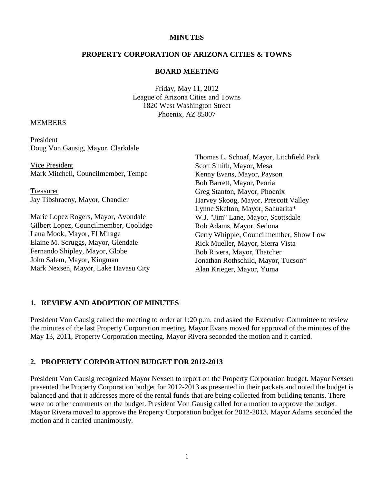#### **MINUTES**

### **PROPERTY CORPORATION OF ARIZONA CITIES & TOWNS**

#### **BOARD MEETING**

Friday, May 11, 2012 League of Arizona Cities and Towns 1820 West Washington Street Phoenix, AZ 85007

#### **MEMBERS**

President Doug Von Gausig, Mayor, Clarkdale

Vice President Mark Mitchell, Councilmember, Tempe

Treasurer Jay Tibshraeny, Mayor, Chandler

Marie Lopez Rogers, Mayor, Avondale Gilbert Lopez, Councilmember, Coolidge Lana Mook, Mayor, El Mirage Elaine M. Scruggs, Mayor, Glendale Fernando Shipley, Mayor, Globe John Salem, Mayor, Kingman Mark Nexsen, Mayor, Lake Havasu City

Thomas L. Schoaf, Mayor, Litchfield Park Scott Smith, Mayor, Mesa Kenny Evans, Mayor, Payson Bob Barrett, Mayor, Peoria Greg Stanton, Mayor, Phoenix Harvey Skoog, Mayor, Prescott Valley Lynne Skelton, Mayor, Sahuarita\* W.J. "Jim" Lane, Mayor, Scottsdale Rob Adams, Mayor, Sedona Gerry Whipple, Councilmember, Show Low Rick Mueller, Mayor, Sierra Vista Bob Rivera, Mayor, Thatcher Jonathan Rothschild, Mayor, Tucson\* Alan Krieger, Mayor, Yuma

#### **1. REVIEW AND ADOPTION OF MINUTES**

President Von Gausig called the meeting to order at 1:20 p.m. and asked the Executive Committee to review the minutes of the last Property Corporation meeting. Mayor Evans moved for approval of the minutes of the May 13, 2011, Property Corporation meeting. Mayor Rivera seconded the motion and it carried.

#### **2. PROPERTY CORPORATION BUDGET FOR 2012-2013**

President Von Gausig recognized Mayor Nexsen to report on the Property Corporation budget. Mayor Nexsen presented the Property Corporation budget for 2012-2013 as presented in their packets and noted the budget is balanced and that it addresses more of the rental funds that are being collected from building tenants. There were no other comments on the budget. President Von Gausig called for a motion to approve the budget. Mayor Rivera moved to approve the Property Corporation budget for 2012-2013. Mayor Adams seconded the motion and it carried unanimously.